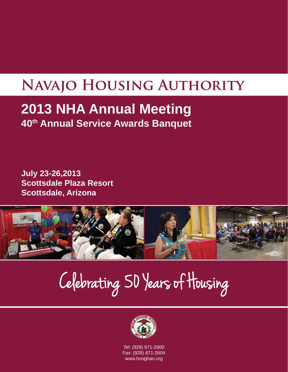# **Navajo Housing Authority**

## **2013 NHA Annual Meeting 40th Annual Service Awards Banquet**

**July 23-26,2013 Scottsdale Plaza Resort Scottsdale, Arizona**



Celebrating 50 Years of Housing



Tel: (928) 871-2600 Fax: (928) 871-2604 www.hooghan.org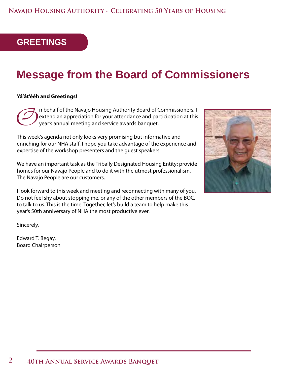## **GREETINGS**

## **Message from the Board of Commissioners**

#### **Yá'át'ééh and Greetings!**

The behalf of the Navajo Housing Authority Board of Commissioners, I<br>extend an appreciation for your attendance and participation at this<br>year's annual meeting and service awards banquet. extend an appreciation for your attendance and participation at this year's annual meeting and service awards banquet.

This week's agenda not only looks very promising but informative and enriching for our NHA staff. I hope you take advantage of the experience and expertise of the workshop presenters and the guest speakers.

We have an important task as the Tribally Designated Housing Entity: provide homes for our Navajo People and to do it with the utmost professionalism. The Navajo People are our customers.

I look forward to this week and meeting and reconnecting with many of you. Do not feel shy about stopping me, or any of the other members of the BOC, to talk to us. This is the time. Together, let's build a team to help make this year's 50th anniversary of NHA the most productive ever.

Sincerely,

Edward T. Begay, Board Chairperson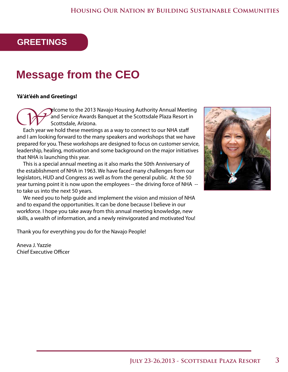## **GREETINGS**

## **Message from the CEO**

#### **Yá'át'ééh and Greetings!**

Welcome to the 2013 Navajo Housing Authority Annual Meeting and Service Awards Banquet at the Scottsdale Plaza Resort in Scottsdale, Arizona.

Each year we hold these meetings as a way to connect to our NHA staff and I am looking forward to the many speakers and workshops that we have prepared for you. These workshops are designed to focus on customer service, leadership, healing, motivation and some background on the major initiatives that NHA is launching this year.

This is a special annual meeting as it also marks the 50th Anniversary of the establishment of NHA in 1963. We have faced many challenges from our legislators, HUD and Congress as well as from the general public. At the 50 year turning point it is now upon the employees -- the driving force of NHA - to take us into the next 50 years.

We need you to help guide and implement the vision and mission of NHA and to expand the opportunities. It can be done because I believe in our workforce. I hope you take away from this annual meeting knowledge, new skills, a wealth of information, and a newly reinvigorated and motivated You!

Thank you for everything you do for the Navajo People!

Aneva J. Yazzie Chief Executive Officer

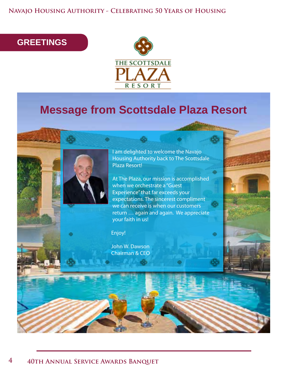**Navajo Housing Authority - Celebrating 50 Years of Housing**

## **GREETINGS**



## **Message from Scottsdale Plaza Resort**



At The Plaza, our mission is accomplished when we orchestrate a "Guest Experience" that far exceeds your expectations. The sincerest compliment we can receive is when our customers return … again and again. We appreciate your faith in us!

Enjoy!

John W. Dawson

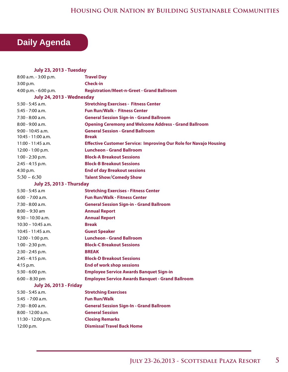#### **Housing Our Nation by Building Sustainable Communities**

## **Daily Agenda**

| <b>July 23, 2013 - Tuesday</b>  |                                                                          |  |
|---------------------------------|--------------------------------------------------------------------------|--|
| 8:00 a.m. - 3:00 p.m.           | <b>Travel Day</b>                                                        |  |
| 3:00 p.m.                       | <b>Check-in</b>                                                          |  |
| 4:00 p.m. - 6:00 p.m.           | <b>Registration/Meet-n-Greet - Grand Ballroom</b>                        |  |
| July 24, 2013 - Wednesday       |                                                                          |  |
| $5:30 - 5:45$ a.m.              | <b>Stretching Exercises - Fitness Center</b>                             |  |
| $5:45 - 7:00$ a.m.              | <b>Fun Run/Walk - Fitness Center</b>                                     |  |
| $7:30 - 8:00$ a.m.              | <b>General Session Sign-in - Grand Ballroom</b>                          |  |
| $8:00 - 9:00$ a.m.              | <b>Opening Ceremony and Welcome Address - Grand Ballroom</b>             |  |
| $9:00 - 10:45$ a.m.             | <b>General Session - Grand Ballroom</b>                                  |  |
| $10:45 - 11:00$ a.m.            | <b>Break</b>                                                             |  |
| $11:00 - 11:45$ a.m.            | <b>Effective Customer Service: Improving Our Role for Navajo Housing</b> |  |
| 12:00 - 1:00 p.m.               | <b>Luncheon - Grand Ballroom</b>                                         |  |
| $1:00 - 2:30$ p.m.              | <b>Block-A Breakout Sessions</b>                                         |  |
| $2:45 - 4:15$ p.m.              | <b>Block-B Breakout Sessions</b>                                         |  |
| 4:30 p.m.                       | <b>End of day Breakout sessions</b>                                      |  |
| $5:30 - 6:30$                   | <b>Talent Show/Comedy Show</b>                                           |  |
| <b>July 25, 2013 - Thursday</b> |                                                                          |  |
| $5:30 - 5:45$ a.m.              | <b>Stretching Exercises - Fitness Center</b>                             |  |
| $6:00 - 7:00$ a.m.              | <b>Fun Run/Walk - Fitness Center</b>                                     |  |
| 7:30 - 8:00 a.m.                | <b>General Session Sign-in - Grand Ballroom</b>                          |  |
| $8:00 - 9:30$ am                | <b>Annual Report</b>                                                     |  |
| $9:30 - 10:30$ a.m.             | <b>Annual Report</b>                                                     |  |
| $10:30 - 10:45$ a.m.            | <b>Break</b>                                                             |  |
| 10:45 - 11:45 a.m.              | <b>Guest Speaker</b>                                                     |  |
| 12:00 - 1:00 p.m.               | <b>Luncheon - Grand Ballroom</b>                                         |  |
| 1:00 - 2:30 p.m.                | <b>Block-C Breakout Sessions</b>                                         |  |
| 2:30 - 2:45 p.m.                | <b>BREAK</b>                                                             |  |
| 2:45 - 4:15 p.m.                | <b>Block-D Breakout Sessions</b>                                         |  |
| 4:15 p.m.                       | <b>End of work shop sessions</b>                                         |  |
| $5:30 - 6:00$ p.m.              | <b>Employee Service Awards Banquet Sign-in</b>                           |  |
| $6:00 - 8:30$ pm                | <b>Employee Service Awards Banquet - Grand Ballroom</b>                  |  |
| <b>July 26, 2013 - Friday</b>   |                                                                          |  |
| 5:30 - 5:45 a.m.                | <b>Stretching Exercises</b>                                              |  |
| $5:45 - 7:00$ a.m.              | <b>Fun Run/Walk</b>                                                      |  |
| 7:30 - 8:00 a.m.                | <b>General Session Sign-In - Grand Ballroom</b>                          |  |
| 8:00 - 12:00 a.m.               | <b>General Session</b>                                                   |  |
| 11:30 - 12:00 p.m.              | <b>Closing Remarks</b>                                                   |  |
| 12:00 p.m.                      | <b>Dismissal Travel Back Home</b>                                        |  |
|                                 |                                                                          |  |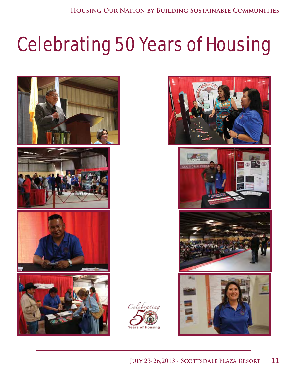# Celebrating 50 Years of Housing

Celebrating

s of Housing



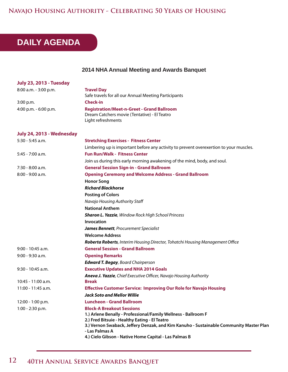#### **Navajo Housing Authority - Celebrating 50 Years of Housing**

## **DAILY AGENDA**

#### **2014 NHA Annual Meeting and Awards Banquet**

| <b>July 23, 2013 - Tuesday</b> |                                                                                                                                                                                                                                                                                                                          |  |
|--------------------------------|--------------------------------------------------------------------------------------------------------------------------------------------------------------------------------------------------------------------------------------------------------------------------------------------------------------------------|--|
| 8:00 a.m. - 3:00 p.m.          | <b>Travel Day</b><br>Safe travels for all our Annual Meeting Participants                                                                                                                                                                                                                                                |  |
| 3:00 p.m.                      | <b>Check-in</b>                                                                                                                                                                                                                                                                                                          |  |
| 4:00 p.m. - 6:00 p.m.          | <b>Registration/Meet-n-Greet - Grand Ballroom</b><br>Dream Catchers movie (Tentative) - El Teatro<br>Light refreshments                                                                                                                                                                                                  |  |
| July 24, 2013 - Wednesday      |                                                                                                                                                                                                                                                                                                                          |  |
| 5:30 - 5:45 a.m.               | <b>Stretching Exercises - Fitness Center</b>                                                                                                                                                                                                                                                                             |  |
|                                | Limbering up is important before any activity to prevent overexertion to your muscles.                                                                                                                                                                                                                                   |  |
| $5:45 - 7:00$ a.m.             | <b>Fun Run/Walk - Fitness Center</b>                                                                                                                                                                                                                                                                                     |  |
|                                | Join us during this early morning awakening of the mind, body, and soul.                                                                                                                                                                                                                                                 |  |
| $7:30 - 8:00$ a.m.             | <b>General Session Sign-in - Grand Ballroom</b>                                                                                                                                                                                                                                                                          |  |
| 8:00 - 9:00 a.m.               | <b>Opening Ceremony and Welcome Address - Grand Ballroom</b>                                                                                                                                                                                                                                                             |  |
|                                | <b>Honor Song</b>                                                                                                                                                                                                                                                                                                        |  |
|                                | <b>Richard Blackhorse</b>                                                                                                                                                                                                                                                                                                |  |
|                                | <b>Posting of Colors</b>                                                                                                                                                                                                                                                                                                 |  |
|                                | Navajo Housing Authority Staff                                                                                                                                                                                                                                                                                           |  |
|                                | <b>National Anthem</b>                                                                                                                                                                                                                                                                                                   |  |
|                                | <b>Sharon L. Yazzie</b> , Window Rock High School Princess                                                                                                                                                                                                                                                               |  |
|                                | Invocation                                                                                                                                                                                                                                                                                                               |  |
|                                | James Bennett, Procurement Specialist                                                                                                                                                                                                                                                                                    |  |
|                                | <b>Welcome Address</b>                                                                                                                                                                                                                                                                                                   |  |
|                                | Roberta Roberts, Interim Housing Director, Tohatchi Housing Management Office                                                                                                                                                                                                                                            |  |
| $9:00 - 10:45$ a.m.            | <b>General Session - Grand Ballroom</b>                                                                                                                                                                                                                                                                                  |  |
| $9:00 - 9:30$ a.m.             | <b>Opening Remarks</b>                                                                                                                                                                                                                                                                                                   |  |
|                                | <b>Edward T. Begay</b> , Board Chairperson                                                                                                                                                                                                                                                                               |  |
| 9:30 - 10:45 a.m.              | <b>Executive Updates and NHA 2014 Goals</b>                                                                                                                                                                                                                                                                              |  |
| $10:45 - 11:00$ a.m.           | Aneva J. Yazzie, Chief Executive Officer, Navajo Housing Authority<br><b>Break</b>                                                                                                                                                                                                                                       |  |
| 11:00 - 11:45 a.m.             | <b>Effective Customer Service: Improving Our Role for Navajo Housing</b>                                                                                                                                                                                                                                                 |  |
|                                | <b>Jack Soto and Mellor Willie</b>                                                                                                                                                                                                                                                                                       |  |
| 12:00 - 1:00 p.m.              | <b>Luncheon - Grand Ballroom</b>                                                                                                                                                                                                                                                                                         |  |
| $1:00 - 2:30$ p.m.             | <b>Block-A Breakout Sessions</b><br>1.) Arlene Benally - Professional/Family Wellness - Ballroom F<br>2.) Fred Bitsuie - Healthy Eating - El Teatro<br>3.) Vernon Swaback, Jeffery Denzak, and Kim Kanuho - Sustainable Community Master Plan<br>- Las Palmas A<br>4.) Cielo Gibson - Native Home Capital - Las Palmas B |  |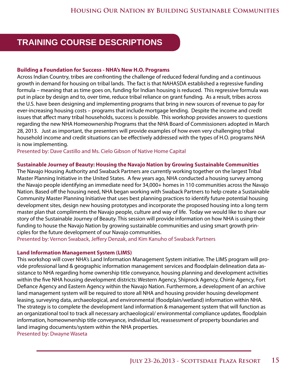## **TRAINING COURSE DESCRIPTIONS**

#### **Building a Foundation for Success - NHA's New H.O. Programs**

Across Indian Country, tribes are confronting the challenge of reduced federal funding and a continuous growth in demand for housing on tribal lands. The fact is that NAHASDA established a regressive funding formula – meaning that as time goes on, funding for Indian housing is reduced. This regressive formula was put in place by design and to, over time, reduce tribal reliance on grant funding. As a result, tribes across the U.S. have been designing and implementing programs that bring in new sources of revenue to pay for ever-increasing housing costs – programs that include mortgage lending. Despite the income and credit issues that affect many tribal households, success is possible. This workshop provides answers to questions regarding the new NHA Homeownership Programs that the NHA Board of Commissioners adopted in March 28, 2013. Just as important, the presenters will provide examples of how even very challenging tribal household income and credit situations can be effectively addressed with the types of H.O. programs NHA is now implementing.

Presented by: Dave Castillo and Ms. Cielo Gibson of Native Home Capital

#### **Sustainable Journey of Beauty: Housing the Navajo Nation by Growing Sustainable Communities**

The Navajo Housing Authority and Swaback Partners are currently working together on the largest Tribal Master Planning Initiative in the United States. A few years ago, NHA conducted a housing survey among the Navajo people identifying an immediate need for 34,000+ homes in 110 communities across the Navajo Nation. Based off the housing need, NHA began working with Swaback Partners to help create a Sustainable Community Master Planning Initiative that uses best planning practices to identify future potential housing development sites, design new housing prototypes and incorporate the proposed housing into a long term master plan that compliments the Navajo people, culture and way of life. Today we would like to share our story of the Sustainable Journey of Beauty. This session will provide information on how NHA is using their funding to house the Navajo Nation by growing sustainable communities and using smart growth principles for the future development of our Navajo communities.

Presented by: Vernon Swaback, Jeffery Denzak, and Kim Kanuho of Swaback Partners

#### **Land Information Management System (LIMS)**

This workshop will cover NHA's Land Information Management System initiative. The LIMS program will provide professional land & geographic information management services and floodplain delineation data assistance to NHA regarding home ownership title conveyance, housing planning and development activities within the five NHA housing development districts: Western Agency, Shiprock Agency, Chinle Agency, Fort Defiance Agency and Eastern Agency within the Navajo Nation. Furthermore, a development of an archive land management system will be required to store all NHA and housing provider housing development leasing, surveying data, archaeological, and environmental (floodplain/wetland) information within NHA. The strategy is to complete the development land information & management system that will function as an organizational tool to track all necessary archaeological/ environmental compliance updates, floodplain information, homeownership title conveyance, individual lot, reassessment of property boundaries and land imaging documents/system within the NHA properties. Presented by: Dwayne Waseta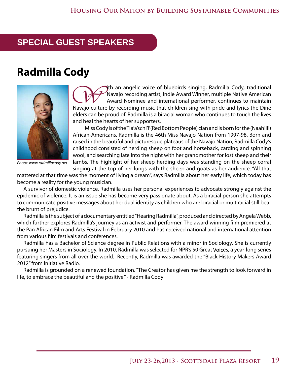## **SPECIAL GUEST SPEAKERS**

## **Radmilla Cody**



*Photo: www.radmillacody.net*

The an angelic voice of bluebirds singing, Radmilla Cody, traditional<br>Navajo recording artist, Indie Award Winner, multiple Native American<br>Navajo culture by recording music that children sing with pride and lyrics the Din Navajo recording artist, Indie Award Winner, multiple Native American Award Nominee and international performer, continues to maintain Navajo culture by recording music that children sing with pride and lyrics the Dine elders can be proud of. Radmilla is a biracial woman who continues to touch the lives and heal the hearts of her supporters.

Miss Cody is of the Tla'a'schi'i'(Red Bottom People) clan and is born for the (Naahilii) African-Americans. Radmilla is the 46th Miss Navajo Nation from 1997-98. Born and raised in the beautiful and picturesque plateaus of the Navajo Nation, Radmilla Cody's childhood consisted of herding sheep on foot and horseback, carding and spinning wool, and searching late into the night with her grandmother for lost sheep and their lambs. The highlight of her sheep herding days was standing on the sheep corral singing at the top of her lungs with the sheep and goats as her audience. "All that

mattered at that time was the moment of living a dream", says Radmilla about her early life, which today has become a reality for the young musician.

A survivor of domestic violence, Radmilla uses her personal experiences to advocate strongly against the epidemic of violence. It is an issue she has become very passionate about. As a biracial person she attempts to communicate positive messages about her dual identity as children who are biracial or multiracial still bear the brunt of prejudice.

Radmilla is the subject of a documentary entitled "Hearing Radmilla", produced and directed by Angela Webb, which further explores Radmilla's journey as an activist and performer. The award winning film premiered at the Pan African Film and Arts Festival in February 2010 and has received national and international attention from various film festivals and conferences.

Radmilla has a Bachelor of Science degree in Public Relations with a minor in Sociology. She is currently pursuing her Masters in Sociology. In 2010, Radmilla was selected for NPR's 50 Great Voices, a year-long series featuring singers from all over the world. Recently, Radmilla was awarded the "Black History Makers Award 2012" from Initiative Radio.

Radmilla is grounded on a renewed foundation. "The Creator has given me the strength to look forward in life, to embrace the beautiful and the positive." - Radmilla Cody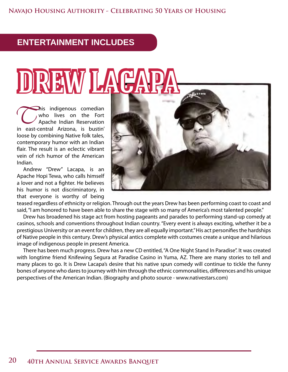## **ENTERTAINMENT INCLUDES**

# REW LACA

This indigenous comedian<br>who lives on the Fort<br>Apache Indian Reservation<br>in east-central Arizona is bustin' who lives on the Fort Apache Indian Reservation in east-central Arizona, is bustin' loose by combining Native folk tales, contemporary humor with an Indian flair. The result is an eclectic vibrant vein of rich humor of the American Indian.

Andrew "Drew" Lacapa, is an Apache Hopi Tewa, who calls himself a lover and not a fighter. He believes his humor is not discriminatory, in that everyone is worthy of being



teased regardless of ethnicity or religion. Through out the years Drew has been performing coast to coast and said, "I am honored to have been able to share the stage with so many of America's most talented people."

Drew has broadened his stage act from hosting pageants and parades to performing stand-up comedy at casinos, schools and conventions throughout Indian country. "Every event is always exciting, whether it be a prestigious University or an event for children, they are all equally important." His act personifies the hardships of Native people in this century. Drew's physical antics complete with costumes create a unique and hilarious image of indigenous people in present America.

There has been much progress. Drew has a new CD entitled, "A One Night Stand In Paradise". It was created with longtime friend Knifewing Segura at Paradise Casino in Yuma, AZ. There are many stories to tell and many places to go. It is Drew Lacapa's desire that his native spun comedy will continue to tickle the funny bones of anyone who dares to journey with him through the ethnic commonalities, differences and his unique perspectives of the American Indian. (Biography and photo source - www.nativestars.com)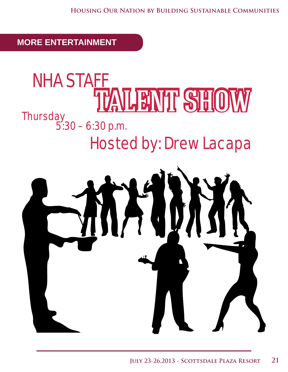**MORE ENTERTAINMENT**

## **Thursday** TALENT SHOW 5:30 – 6:30 p.m. Hosted by: Drew Lacapa NHA STAFF

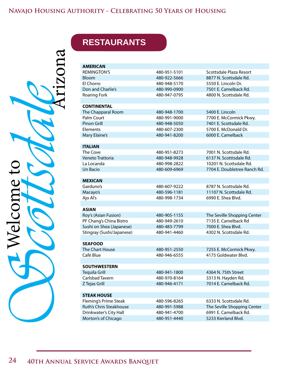ArizonaSchechmeto John John Welcome to Welcome to

## **RESTAURANTS**

| <b>AMERICAN</b>           |              |                              |
|---------------------------|--------------|------------------------------|
| <b>REMINGTON'S</b>        | 480-951-5101 | Scottsdale Plaza Resort      |
| Bloom                     | 480-922-5666 | 8877 N. Scottsdale Rd.       |
| El Chorro                 | 480-948-5170 | 5550 E. Lincoln Dr.          |
| Don and Charlie's         | 480-990-0900 | 7501 E. Camelback Rd.        |
| <b>Roaring Fork</b>       | 480-947-0795 | 4800 N. Scottsdale Rd.       |
|                           |              |                              |
| <b>CONTINENTAL</b>        |              |                              |
| The Chapparal Room        | 480-948-1700 | 5400 E. Lincoln              |
| Palm Court                | 480-991-9000 | 7700 E. McCormick Pkwy.      |
| Pinon Grill               | 480-948-5050 | 7401 E. Scottsdale Rd.       |
| Elements                  | 480-607-2300 | 5700 E. McDonald Dr.         |
| Mary Elaine's             | 480-941-8200 | 6000 E. Camelback            |
|                           |              |                              |
| <b>ITALIAN</b>            |              |                              |
| The Cove                  | 480-951-8273 | 7001 N. Scottsdale Rd.       |
| Veneto Trattoria          | 480-948-9928 | 6137 N. Scotttsdale Rd.      |
| La Locanda                | 480-998-2822 | 10201 N. Scottsdale Rd.      |
| Un Bacio                  | 480-609-6969 | 7704 E. Doubletree Ranch Rd. |
|                           |              |                              |
| <b>MEXICAN</b>            |              |                              |
| Garduno's                 | 480-607-9222 | 8787 N. Scottsdale Rd.       |
| Macayo's                  | 480-596-1181 | 11107 N. Scottsdale Rd.      |
| Ajo Al's                  | 480-998-1734 | 6990 E. Shea Blvd.           |
|                           |              |                              |
| <b>ASIAN</b>              |              |                              |
| Roy's (Asian Fusion)      | 480-905-1155 | The Seville Shopping Center  |
| PF Chang's China Bistro   | 480-949-2610 | 7135 E. Camelback Rd         |
| Sushi on Shea (Japanese)  | 480-483-7799 | 7000 E. Shea Blvd.           |
| Stingray (Sushi/Japanese) | 480-941-4460 | 4302 N. Scottsdale Rd.       |
|                           |              |                              |
| <b>SEAFOOD</b>            |              |                              |
| The Chart House           | 480-951-2550 | 7255 E. McCormick Pkwy.      |
| Café Blue                 | 480-946-6555 | 4175 Goldwater Blvd.         |
|                           |              |                              |
| <b>SOUTHWESTERN</b>       |              |                              |
| Tequila Grill             | 480-941-1800 | 4364 N. 75th Street          |
| Carlsbad Tavern           | 480-970-8164 | 3313 N. Hayden Rd.           |
| Z Tejas Grill             | 480-946-4171 | 7014 E. Camelback Rd.        |
|                           |              |                              |
| <b>STEAK HOUSE</b>        |              |                              |
| Fleming's Prime Steak     | 480-596-8265 | 6333 N. Scottsdale Rd.       |
| Ruth's Chris Steakhouse   | 480-991-5988 | The Seville Shopping Center  |
| Drinkwater's City Hall    | 480-941-4700 | 6991 E. Camelback Rd.        |
| Morton's of Chicago       | 480-951-4440 | 5233 Kierland Blvd.          |
|                           |              |                              |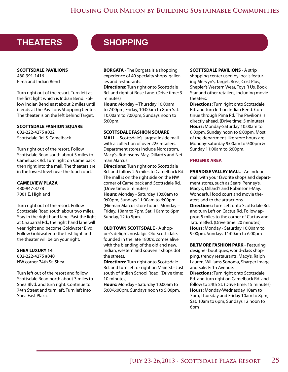## **THEATERS SHOPPING**

**SCOTTSDALE PAVILIONS** 480-991-1416 Pima and Indian Bend

Turn right out of the resort. Turn left at the first light which is Indian Bend. Follow Indian Bend east about 2 miles until it ends at the Pavilions Shopping Center. The theater is on the left behind Target.

#### **SCOTTSDALE FASHION SQUARE**

602-222-4275 #022 Scottsdale Rd. & Camelback

Turn right out of the resort. Follow Scottsdale Road south about 3 miles to Camelback Rd. Turn right on Camelback then right into the mall. The theaters are in the lowest level near the food court.

**CAMELVIEW PLAZA** 480-947-8778 7001 E. Highland

Turn right out of the resort. Follow Scottsdale Road south about two miles. Stay in the right hand lane. Past the light at Chaparral Rd., the right hand lane will veer right and become Goldwater Blvd. Follow Goldwater to the first light and the theater will be on your right.

#### **SHEA LUXURY 14**

602-222-4275 #040 NW corner 74th St. Shea

Turn left out of the resort and follow Scottsdale Road north about 3 miles to Shea Blvd. and turn right. Continue to 74th Street and turn left. Turn left into Shea East Plaza.

**BORGATA** - The Borgata is a shopping experience of 40 specialty shops, galleries and restaurants.

**Directions:** Turn right onto Scottsdale Rd. and right at Rose Lane. (Drive time: 3 minutes)

**Hours:** Monday – Thursday 10:00am to 7:00pm, Friday, 10:00am to 8pm Sat. 10:00am to 7:00pm, Sundays noon to 5:00pm.

#### **SCOTTSDALE FASHION SQUARE**

**MALL** – Scottsdale's largest inside mall with a collection of over 225 retailers. Department stores include Nordstrom, Macy's, Robinsons-May, Dillard's and Neiman Marcus.

**Directions:** Turn right onto Scottsdale Rd. and follow 2.5 miles to Camelback Rd. The mall is on the right side on the NW corner of Camelback and Scottsdale Rd. (Drive time: 5 minutes) **Hours:** Monday - Saturday 10:00am to 9:00pm, Sundays 11:00am to 6:00pm. (Nieman Marcus store hours: Monday – Friday, 10am to 7pm, Sat. 10am to 6pm, Sunday, 12 to 5pm.

**OLD TOWN SCOTTSDALE** - A shopper's delight, nostalgic Old Scottsdale, founded in the late 1800's, comes alive with the blending of the old and new. Indian, western and souvenir shops dot the streets.

**Directions:** Turn right onto Scottsdale Rd. and turn left or right on Main St.- Just south of Indian School Road. (Drive time: 10 minutes)

**Hours:** Monday - Saturday 10:00am to 5:00/6:00pm, Sundays noon to 5:00pm.

#### **SCOTTSDALE PAVILIONS** - A strip shopping center used by locals featuring Mervyn's, Target, Ross, Cost Plus, Shepler's Western Wear, Toys R Us, Book Star and other retailers, including movie theaters.

**Directions:** Turn right onto Scottsdale Rd. and turn left on Indian Bend. Continue through Pima Rd. The Pavilions is directly ahead. (Drive time: 5 minutes) **Hours:** Monday-Saturday 10:00am to 6:00pm, Sunday noon to 6:00pm. Most of the department-like store hours are Monday-Saturday 9:00am to 9:00pm & Sunday 11:00am to 6:00pm.

#### **PHOENIX AREA**

**PARADISE VALLEY MALL** - An indoor mall with your favorite shops and department stores, such as Sears, Penney's, Macy's, Dillard's and Robinsons-May. Wonderful food court and movie theaters add to the attractions. **Directions:** Turn Left onto Scottsdale Rd, and turn Left on Cactus Rd. Follow approx. 5 miles to the corner of Cactus and Tatum Blvd. (Drive time: 20 minutes) **Hours:** Monday - Saturday 10:00am to 9:00pm, Sundays 11:00am to 6:00pm

**BILTMORE FASHION PARK** - Featuring designer boutiques, world-class shopping, trendy restaurants, Macy's, Ralph Lauren, Williams Sonoma, Sharper Image, and Saks Fifth Avenue.

**Directions:** Turn right onto Scottsdale Rd. and turn right on Camelback Rd. and follow to 24th St. (Drive time: 15 minutes) **Hours:** Monday-Wednesday 10am to 7pm, Thursday and Friday 10am to 8pm, Sat. 10am to 6pm, Sundays 12 noon to 6pm